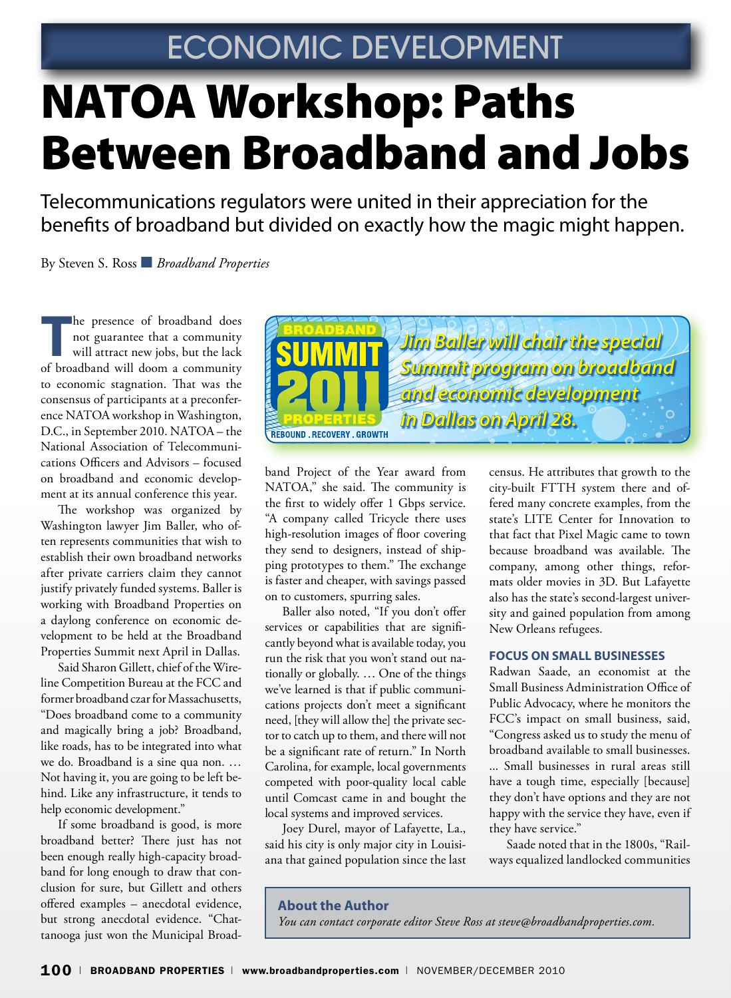## ECONOMIC DEVELOPMENT

# NATOA Workshop: Paths Between Broadband and Jobs

Telecommunications regulators were united in their appreciation for the benefits of broadband but divided on exactly how the magic might happen.

By Steven S. Ross ■ *Broadband Properties*

**The presence of broadband does**<br>not guarantee that a community<br>will attract new jobs, but the lack not guarantee that a community will attract new jobs, but the lack of broadband will doom a community to economic stagnation. That was the consensus of participants at a preconference NATOA workshop in Washington, D.C., in September 2010. NATOA – the National Association of Telecommunications Officers and Advisors – focused on broadband and economic development at its annual conference this year.

The workshop was organized by Washington lawyer Jim Baller, who often represents communities that wish to establish their own broadband networks after private carriers claim they cannot justify privately funded systems. Baller is working with Broadband Properties on a daylong conference on economic development to be held at the Broadband Properties Summit next April in Dallas.

Said Sharon Gillett, chief of the Wireline Competition Bureau at the FCC and former broadband czar for Massachusetts, "Does broadband come to a community and magically bring a job? Broadband, like roads, has to be integrated into what we do. Broadband is a sine qua non. … Not having it, you are going to be left behind. Like any infrastructure, it tends to help economic development."

If some broadband is good, is more broadband better? There just has not been enough really high-capacity broadband for long enough to draw that conclusion for sure, but Gillett and others offered examples – anecdotal evidence, but strong anecdotal evidence. "Chattanooga just won the Municipal Broad-



band Project of the Year award from NATOA," she said. The community is the first to widely offer 1 Gbps service. "A company called Tricycle there uses high-resolution images of floor covering they send to designers, instead of shipping prototypes to them." The exchange is faster and cheaper, with savings passed on to customers, spurring sales.

Baller also noted, "If you don't offer services or capabilities that are significantly beyond what is available today, you run the risk that you won't stand out nationally or globally. … One of the things we've learned is that if public communications projects don't meet a significant need, [they will allow the] the private sector to catch up to them, and there will not be a significant rate of return." In North Carolina, for example, local governments competed with poor-quality local cable until Comcast came in and bought the local systems and improved services.

Joey Durel, mayor of Lafayette, La., said his city is only major city in Louisiana that gained population since the last census. He attributes that growth to the city-built FTTH system there and offered many concrete examples, from the state's LITE Center for Innovation to that fact that Pixel Magic came to town because broadband was available. The company, among other things, reformats older movies in 3D. But Lafayette also has the state's second-largest university and gained population from among New Orleans refugees.

#### **FOCUS ON SMALL BUSINESSES**

Radwan Saade, an economist at the Small Business Administration Office of Public Advocacy, where he monitors the FCC's impact on small business, said, "Congress asked us to study the menu of broadband available to small businesses. ... Small businesses in rural areas still have a tough time, especially [because] they don't have options and they are not happy with the service they have, even if they have service."

Saade noted that in the 1800s, "Railways equalized landlocked communities

#### **About the Author**

*You can contact corporate editor Steve Ross at steve@broadbandproperties.com.*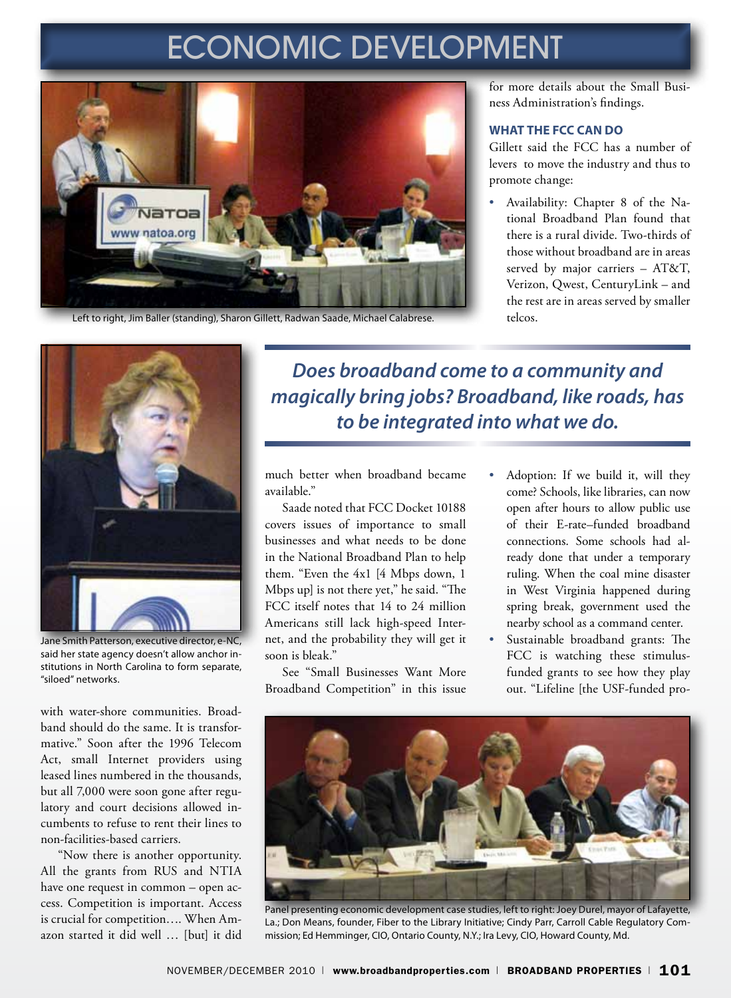### ECONOMIC DEVELOPMENT



Left to right, Jim Baller (standing), Sharon Gillett, Radwan Saade, Michael Calabrese.

for more details about the Small Business Administration's findings.

#### **WHAT THE FCC CAN DO**

Gillett said the FCC has a number of levers to move the industry and thus to promote change:

• Availability: Chapter 8 of the National Broadband Plan found that there is a rural divide. Two-thirds of those without broadband are in areas served by major carriers – AT&T, Verizon, Qwest, CenturyLink – and the rest are in areas served by smaller telcos.



Jane Smith Patterson, executive director, e-NC, said her state agency doesn't allow anchor institutions in North Carolina to form separate, "siloed" networks.

with water-shore communities. Broadband should do the same. It is transformative." Soon after the 1996 Telecom Act, small Internet providers using leased lines numbered in the thousands, but all 7,000 were soon gone after regulatory and court decisions allowed incumbents to refuse to rent their lines to non-facilities-based carriers.

"Now there is another opportunity. All the grants from RUS and NTIA have one request in common – open access. Competition is important. Access is crucial for competition…. When Amazon started it did well … [but] it did

*Does broadband come to a community and magically bring jobs? Broadband, like roads, has to be integrated into what we do.*

much better when broadband became available."

Saade noted that FCC Docket 10188 covers issues of importance to small businesses and what needs to be done in the National Broadband Plan to help them. "Even the 4x1 [4 Mbps down, 1 Mbps up] is not there yet," he said. "The FCC itself notes that 14 to 24 million Americans still lack high-speed Internet, and the probability they will get it soon is bleak."

See "Small Businesses Want More Broadband Competition" in this issue

- Adoption: If we build it, will they come? Schools, like libraries, can now open after hours to allow public use of their E-rate–funded broadband connections. Some schools had already done that under a temporary ruling. When the coal mine disaster in West Virginia happened during spring break, government used the nearby school as a command center.
- Sustainable broadband grants: The FCC is watching these stimulusfunded grants to see how they play out. "Lifeline [the USF-funded pro-



Panel presenting economic development case studies, left to right: Joey Durel, mayor of Lafayette, La.; Don Means, founder, Fiber to the Library Initiative; Cindy Parr, Carroll Cable Regulatory Commission; Ed Hemminger, CIO, Ontario County, N.Y.; Ira Levy, CIO, Howard County, Md.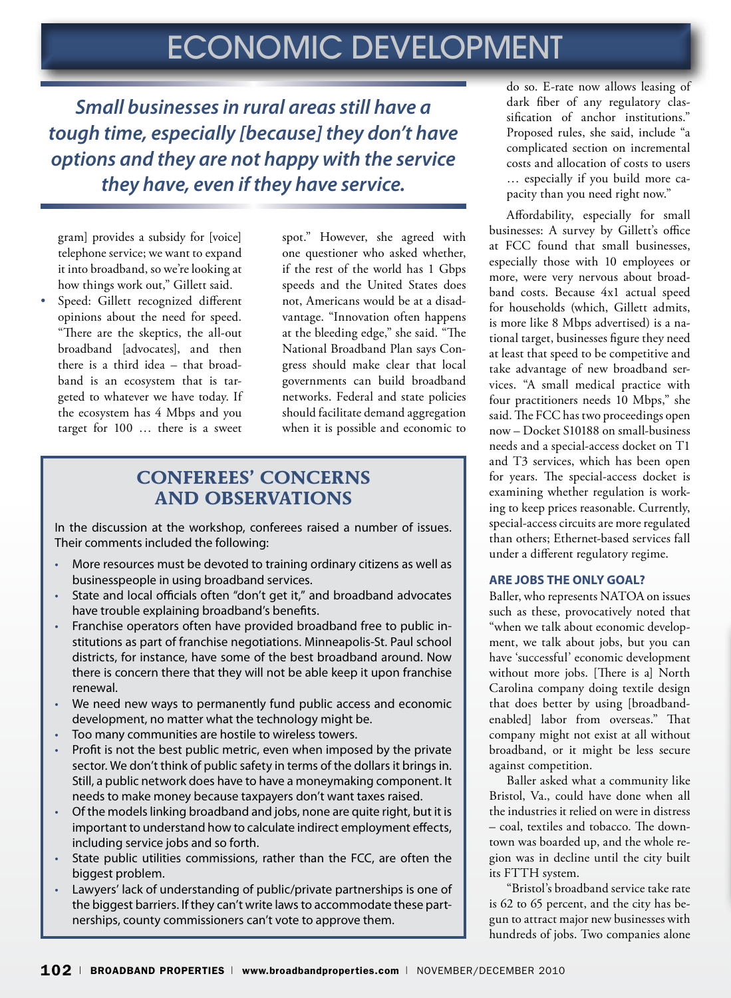*Small businesses in rural areas still have a tough time, especially [because] they don't have options and they are not happy with the service they have, even if they have service.*

gram] provides a subsidy for [voice] telephone service; we want to expand it into broadband, so we're looking at how things work out," Gillett said.

Speed: Gillett recognized different opinions about the need for speed. "There are the skeptics, the all-out broadband [advocates], and then there is a third idea – that broadband is an ecosystem that is targeted to whatever we have today. If the ecosystem has 4 Mbps and you target for 100 … there is a sweet spot." However, she agreed with one questioner who asked whether, if the rest of the world has 1 Gbps speeds and the United States does not, Americans would be at a disadvantage. "Innovation often happens at the bleeding edge," she said. "The National Broadband Plan says Congress should make clear that local governments can build broadband networks. Federal and state policies should facilitate demand aggregation when it is possible and economic to

### **Conferees' Concerns and Observations**

In the discussion at the workshop, conferees raised a number of issues. Their comments included the following:

- More resources must be devoted to training ordinary citizens as well as businesspeople in using broadband services.
- State and local officials often "don't get it," and broadband advocates have trouble explaining broadband's benefits.
- Franchise operators often have provided broadband free to public institutions as part of franchise negotiations. Minneapolis-St. Paul school districts, for instance, have some of the best broadband around. Now there is concern there that they will not be able keep it upon franchise renewal.
- We need new ways to permanently fund public access and economic development, no matter what the technology might be.
- Too many communities are hostile to wireless towers.
- Profit is not the best public metric, even when imposed by the private sector. We don't think of public safety in terms of the dollars it brings in. Still, a public network does have to have a moneymaking component. It needs to make money because taxpayers don't want taxes raised.
- Of the models linking broadband and jobs, none are quite right, but it is important to understand how to calculate indirect employment effects, including service jobs and so forth.
- State public utilities commissions, rather than the FCC, are often the biggest problem.
- Lawyers' lack of understanding of public/private partnerships is one of the biggest barriers. If they can't write laws to accommodate these partnerships, county commissioners can't vote to approve them.

do so. E-rate now allows leasing of dark fiber of any regulatory classification of anchor institutions." Proposed rules, she said, include "a complicated section on incremental costs and allocation of costs to users … especially if you build more capacity than you need right now."

Affordability, especially for small businesses: A survey by Gillett's office at FCC found that small businesses, especially those with 10 employees or more, were very nervous about broadband costs. Because 4x1 actual speed for households (which, Gillett admits, is more like 8 Mbps advertised) is a national target, businesses figure they need at least that speed to be competitive and take advantage of new broadband services. "A small medical practice with four practitioners needs 10 Mbps," she said. The FCC has two proceedings open now – Docket S10188 on small-business needs and a special-access docket on T1 and T3 services, which has been open for years. The special-access docket is examining whether regulation is working to keep prices reasonable. Currently, special-access circuits are more regulated than others; Ethernet-based services fall under a different regulatory regime.

### **ARE JOBS THE ONLY GOAL?**

Baller, who represents NATOA on issues such as these, provocatively noted that "when we talk about economic development, we talk about jobs, but you can have 'successful' economic development without more jobs. [There is a] North Carolina company doing textile design that does better by using [broadbandenabled] labor from overseas." That company might not exist at all without broadband, or it might be less secure against competition.

Baller asked what a community like Bristol, Va., could have done when all the industries it relied on were in distress – coal, textiles and tobacco. The downtown was boarded up, and the whole region was in decline until the city built its FTTH system.

"Bristol's broadband service take rate is 62 to 65 percent, and the city has begun to attract major new businesses with hundreds of jobs. Two companies alone